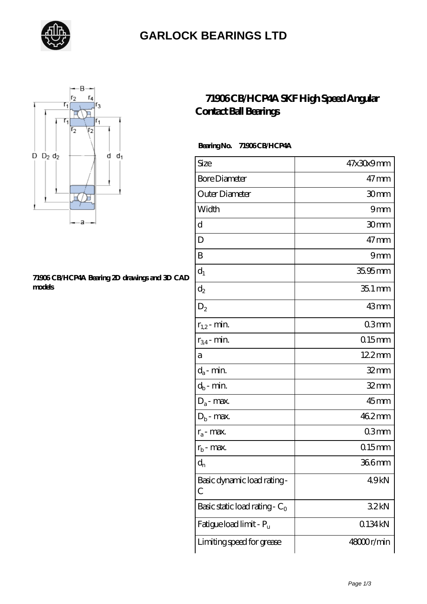

### **[GARLOCK BEARINGS LTD](https://letterstopriests.com)**



#### **[71906 CB/HCP4A Bearing 2D drawings and 3D CAD](https://letterstopriests.com/pic-935019.html) [models](https://letterstopriests.com/pic-935019.html)**

### **[71906 CB/HCP4A SKF High Speed Angular](https://letterstopriests.com/skf-bearing/71906-cb-hcp4a.html) [Contact Ball Bearings](https://letterstopriests.com/skf-bearing/71906-cb-hcp4a.html)**

### **Bearing No. 71906 CB/HCP4A**

| Size                             | 47x30x9mm           |
|----------------------------------|---------------------|
| <b>Bore Diameter</b>             | $47$ mm             |
| Outer Diameter                   | 30 <sub>mm</sub>    |
| Width                            | 9mm                 |
| d                                | 30mm                |
| D                                | $47$ mm             |
| B                                | 9mm                 |
| $d_1$                            | $35.95$ mm          |
| $\mathrm{d}_2$                   | $351 \,\mathrm{mm}$ |
| $D_2$                            | 43mm                |
| $r_{1,2}$ - min.                 | 03mm                |
| $r_{34}$ - min.                  | $015$ mm            |
| а                                | 12.2mm              |
| $d_a$ - min.                     | $32 \text{mm}$      |
| $d_b$ - min.                     | $32$ mm             |
| $D_a$ - max.                     | 45mm                |
| $D_b$ - max.                     | 462mm               |
| $r_a$ - max.                     | 03 <sub>mm</sub>    |
| $r_{b}$ - max.                   | $0.15$ mm           |
| $d_{n}$                          | 366mm               |
| Basic dynamic load rating-<br>С  | 49kN                |
| Basic static load rating - $C_0$ | 32kN                |
| Fatigue load limit - Pu          | 0134kN              |
| Limiting speed for grease        | 48000r/min          |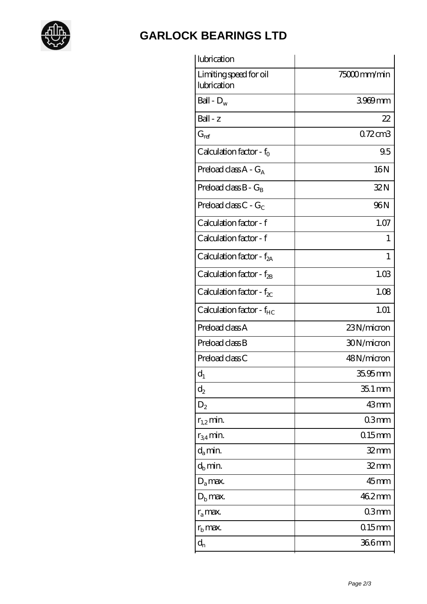

## **[GARLOCK BEARINGS LTD](https://letterstopriests.com)**

| 75000mm/min    |
|----------------|
| 3969mm         |
| 22             |
| 0.72cm3        |
| 9.5            |
| 16N            |
| 32N            |
| 96N            |
| 1.07           |
| 1              |
| 1              |
| 1.03           |
| 1.08           |
| 1.01           |
| 23N/micron     |
| 30N/micron     |
| 48N/micron     |
| 35.95 mm       |
| $351$ mm       |
| 43mm           |
| 03mm           |
| $015$ mm       |
| 32 mm          |
| $32 \text{mm}$ |
| $45$ mm        |
| 462mm          |
| 03mm           |
| $0.15$ mm      |
| 366mm          |
|                |